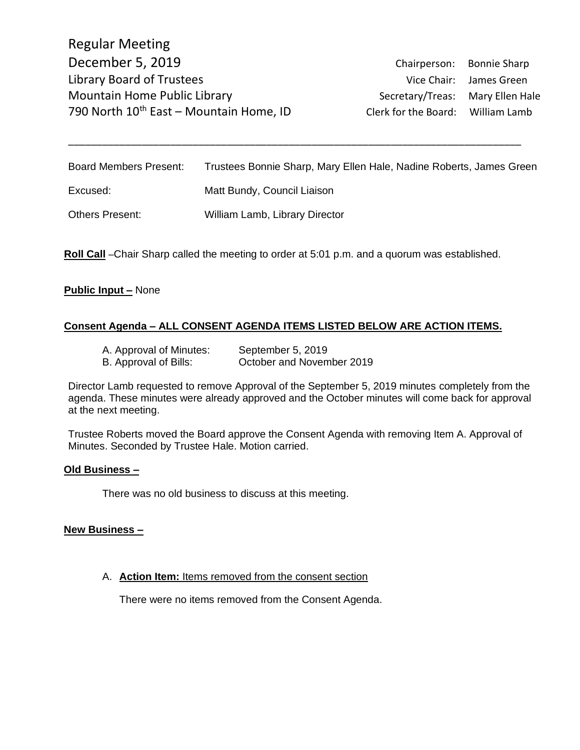Regular Meeting December 5, 2019 Chairperson: Bonnie Sharp Library Board of Trustees and Trustees Vice Chair: James Green Mountain Home Public Library **Secretary/Treas:** Mary Ellen Hale 790 North 10<sup>th</sup> East – Mountain Home, ID Clerk for the Board: William Lamb

Board Members Present: Trustees Bonnie Sharp, Mary Ellen Hale, Nadine Roberts, James Green Excused: Matt Bundy, Council Liaison Others Present: William Lamb, Library Director

\_\_\_\_\_\_\_\_\_\_\_\_\_\_\_\_\_\_\_\_\_\_\_\_\_\_\_\_\_\_\_\_\_\_\_\_\_\_\_\_\_\_\_\_\_\_\_\_\_\_\_\_\_\_\_\_\_\_\_\_\_\_\_\_\_\_\_\_\_\_\_\_\_\_\_\_\_\_\_\_

**Roll Call** –Chair Sharp called the meeting to order at 5:01 p.m. and a quorum was established.

#### **Public Input –** None

#### **Consent Agenda – ALL CONSENT AGENDA ITEMS LISTED BELOW ARE ACTION ITEMS.**

A. Approval of Minutes: September 5, 2019 B. Approval of Bills: October and November 2019

Director Lamb requested to remove Approval of the September 5, 2019 minutes completely from the agenda. These minutes were already approved and the October minutes will come back for approval at the next meeting.

Trustee Roberts moved the Board approve the Consent Agenda with removing Item A. Approval of Minutes. Seconded by Trustee Hale. Motion carried.

#### **Old Business –**

There was no old business to discuss at this meeting.

#### **New Business –**

A. **Action Item:** Items removed from the consent section

There were no items removed from the Consent Agenda.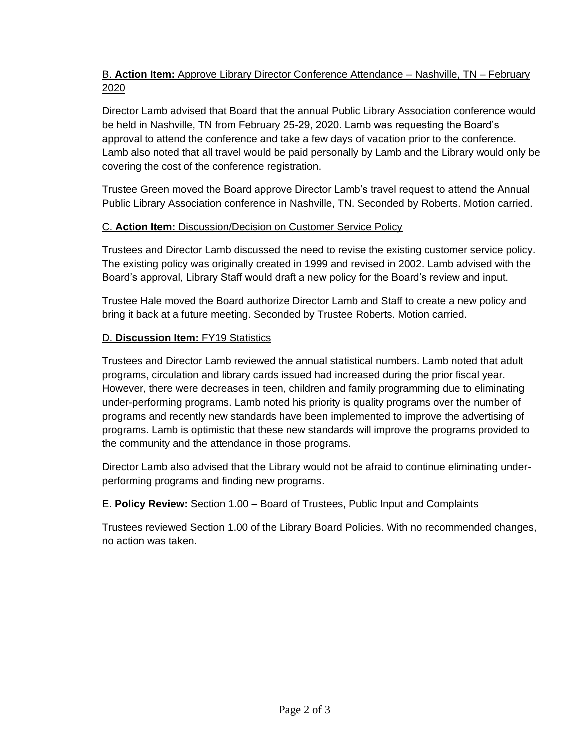## B. **Action Item:** Approve Library Director Conference Attendance – Nashville, TN – February 2020

Director Lamb advised that Board that the annual Public Library Association conference would be held in Nashville, TN from February 25-29, 2020. Lamb was requesting the Board's approval to attend the conference and take a few days of vacation prior to the conference. Lamb also noted that all travel would be paid personally by Lamb and the Library would only be covering the cost of the conference registration.

Trustee Green moved the Board approve Director Lamb's travel request to attend the Annual Public Library Association conference in Nashville, TN. Seconded by Roberts. Motion carried.

### C. **Action Item:** Discussion/Decision on Customer Service Policy

Trustees and Director Lamb discussed the need to revise the existing customer service policy. The existing policy was originally created in 1999 and revised in 2002. Lamb advised with the Board's approval, Library Staff would draft a new policy for the Board's review and input.

Trustee Hale moved the Board authorize Director Lamb and Staff to create a new policy and bring it back at a future meeting. Seconded by Trustee Roberts. Motion carried.

### D. **Discussion Item:** FY19 Statistics

Trustees and Director Lamb reviewed the annual statistical numbers. Lamb noted that adult programs, circulation and library cards issued had increased during the prior fiscal year. However, there were decreases in teen, children and family programming due to eliminating under-performing programs. Lamb noted his priority is quality programs over the number of programs and recently new standards have been implemented to improve the advertising of programs. Lamb is optimistic that these new standards will improve the programs provided to the community and the attendance in those programs.

Director Lamb also advised that the Library would not be afraid to continue eliminating underperforming programs and finding new programs.

# E. **Policy Review:** Section 1.00 – Board of Trustees, Public Input and Complaints

Trustees reviewed Section 1.00 of the Library Board Policies. With no recommended changes, no action was taken.